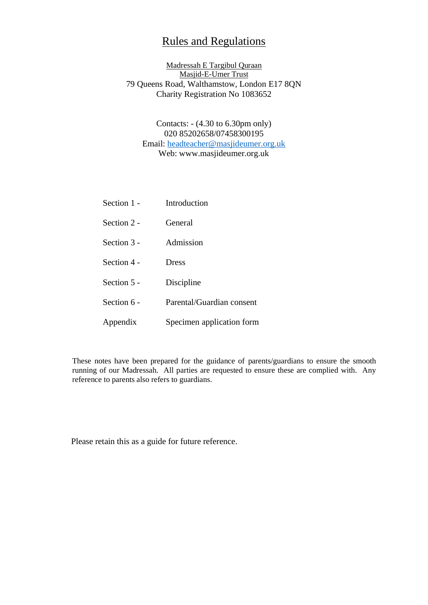# Rules and Regulations

## Madressah E Targibul Quraan Masjid-E-Umer Trust 79 Queens Road, Walthamstow, London E17 8QN Charity Registration No 1083652

# Contacts: - (4.30 to 6.30pm only) 020 85202658/07458300195 Email: [headteacher@masjideumer.org.uk](mailto:headteacher@masjideumer.org.uk) Web: www.masjideumer.org.uk

| Section 1 -   | Introduction              |
|---------------|---------------------------|
| Section 2 -   | General                   |
| Section $3 -$ | Admission                 |
| Section 4 -   | Dress                     |
| Section 5 -   | Discipline                |
| Section 6 -   | Parental/Guardian consent |
| Appendix      | Specimen application form |

These notes have been prepared for the guidance of parents/guardians to ensure the smooth running of our Madressah. All parties are requested to ensure these are complied with. Any reference to parents also refers to guardians.

Please retain this as a guide for future reference.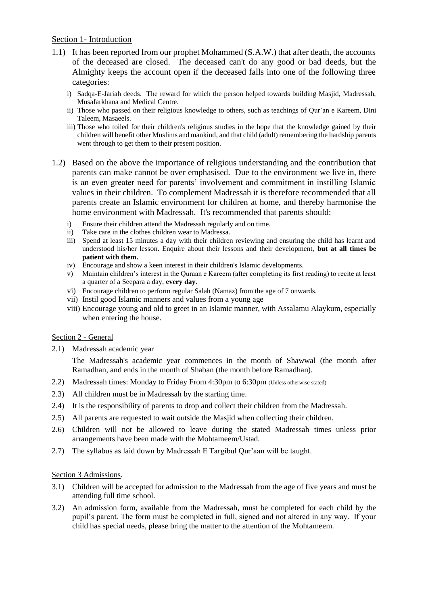## Section 1- Introduction

- 1.1) It has been reported from our prophet Mohammed (S.A.W.) that after death, the accounts of the deceased are closed. The deceased can't do any good or bad deeds, but the Almighty keeps the account open if the deceased falls into one of the following three categories:
	- i) Sadqa-E-Jariah deeds. The reward for which the person helped towards building Masjid, Madressah, Musafarkhana and Medical Centre.
	- ii) Those who passed on their religious knowledge to others, such as teachings of Qur'an e Kareem, Dini Taleem, Masaeels.
	- iii) Those who toiled for their children's religious studies in the hope that the knowledge gained by their children will benefit other Muslims and mankind, and that child (adult) remembering the hardship parents went through to get them to their present position.
- 1.2) Based on the above the importance of religious understanding and the contribution that parents can make cannot be over emphasised. Due to the environment we live in, there is an even greater need for parents' involvement and commitment in instilling Islamic values in their children. To complement Madressah it is therefore recommended that all parents create an Islamic environment for children at home, and thereby harmonise the home environment with Madressah. It's recommended that parents should:
	- i) Ensure their children attend the Madressah regularly and on time.
	- ii) Take care in the clothes children wear to Madressa.
	- iii) Spend at least 15 minutes a day with their children reviewing and ensuring the child has learnt and understood his/her lesson. Enquire about their lessons and their development, **but at all times be patient with them.**
	- iv) Encourage and show a keen interest in their children's Islamic developments.
	- v) Maintain children's interest in the Quraan e Kareem (after completing its first reading) to recite at least a quarter of a Seepara a day, **every day**.
	- vi) Encourage children to perform regular Salah (Namaz) from the age of 7 onwards.
	- vii) Instil good Islamic manners and values from a young age
	- viii) Encourage young and old to greet in an Islamic manner, with Assalamu Alaykum, especially when entering the house.

## Section 2 - General

2.1) Madressah academic year

The Madressah's academic year commences in the month of Shawwal (the month after Ramadhan, and ends in the month of Shaban (the month before Ramadhan).

- 2.2) Madressah times: Monday to Friday From 4:30pm to 6:30pm (Unless otherwise stated)
- 2.3) All children must be in Madressah by the starting time.
- 2.4) It is the responsibility of parents to drop and collect their children from the Madressah.
- 2.5) All parents are requested to wait outside the Masjid when collecting their children.
- 2.6) Children will not be allowed to leave during the stated Madressah times unless prior arrangements have been made with the Mohtameem/Ustad.
- 2.7) The syllabus as laid down by Madressah E Targibul Qur'aan will be taught.

## Section 3 Admissions.

- 3.1) Children will be accepted for admission to the Madressah from the age of five years and must be attending full time school.
- 3.2) An admission form, available from the Madressah, must be completed for each child by the pupil's parent. The form must be completed in full, signed and not altered in any way. If your child has special needs, please bring the matter to the attention of the Mohtameem.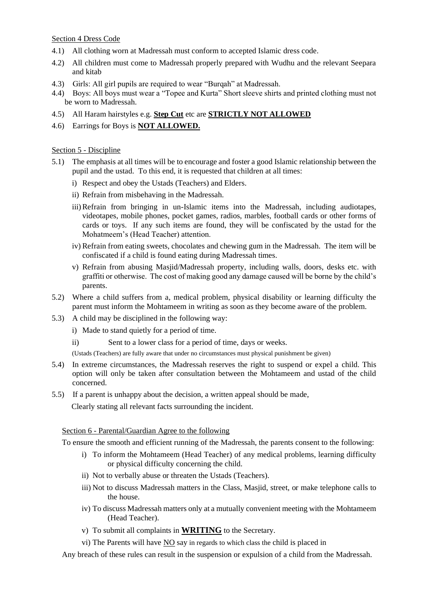#### Section 4 Dress Code

- 4.1) All clothing worn at Madressah must conform to accepted Islamic dress code.
- 4.2) All children must come to Madressah properly prepared with Wudhu and the relevant Seepara and kitab
- 4.3) Girls: All girl pupils are required to wear "Burqah" at Madressah.
- 4.4) Boys: All boys must wear a "Topee and Kurta" Short sleeve shirts and printed clothing must not be worn to Madressah.
- 4.5) All Haram hairstyles e.g. **Step Cut** etc are **STRICTLY NOT ALLOWED**
- 4.6) Earrings for Boys is **NOT ALLOWED.**

#### Section 5 - Discipline

- 5.1) The emphasis at all times will be to encourage and foster a good Islamic relationship between the pupil and the ustad. To this end, it is requested that children at all times:
	- i) Respect and obey the Ustads (Teachers) and Elders.
	- ii) Refrain from misbehaving in the Madressah.
	- iii)Refrain from bringing in un-Islamic items into the Madressah, including audiotapes, videotapes, mobile phones, pocket games, radios, marbles, football cards or other forms of cards or toys. If any such items are found, they will be confiscated by the ustad for the Mohatmeem's (Head Teacher) attention.
	- iv) Refrain from eating sweets, chocolates and chewing gum in the Madressah. The item will be confiscated if a child is found eating during Madressah times.
	- v) Refrain from abusing Masjid/Madressah property, including walls, doors, desks etc. with graffiti or otherwise. The cost of making good any damage caused will be borne by the child's parents.
- 5.2) Where a child suffers from a, medical problem, physical disability or learning difficulty the parent must inform the Mohtameem in writing as soon as they become aware of the problem.
- 5.3) A child may be disciplined in the following way:
	- i) Made to stand quietly for a period of time.
	- ii) Sent to a lower class for a period of time, days or weeks.
	- (Ustads (Teachers) are fully aware that under no circumstances must physical punishment be given)
- 5.4) In extreme circumstances, the Madressah reserves the right to suspend or expel a child. This option will only be taken after consultation between the Mohtameem and ustad of the child concerned.
- 5.5) If a parent is unhappy about the decision, a written appeal should be made,

Clearly stating all relevant facts surrounding the incident.

#### Section 6 - Parental/Guardian Agree to the following

To ensure the smooth and efficient running of the Madressah, the parents consent to the following:

- i) To inform the Mohtameem (Head Teacher) of any medical problems, learning difficulty or physical difficulty concerning the child.
- ii) Not to verbally abuse or threaten the Ustads (Teachers).
- iii) Not to discuss Madressah matters in the Class, Masjid, street, or make telephone calls to the house.
- iv) To discuss Madressah matters only at a mutually convenient meeting with the Mohtameem (Head Teacher).
- v) To submit all complaints in **WRITING** to the Secretary.
- vi) The Parents will have NO say in regards to which class the child is placed in

Any breach of these rules can result in the suspension or expulsion of a child from the Madressah.